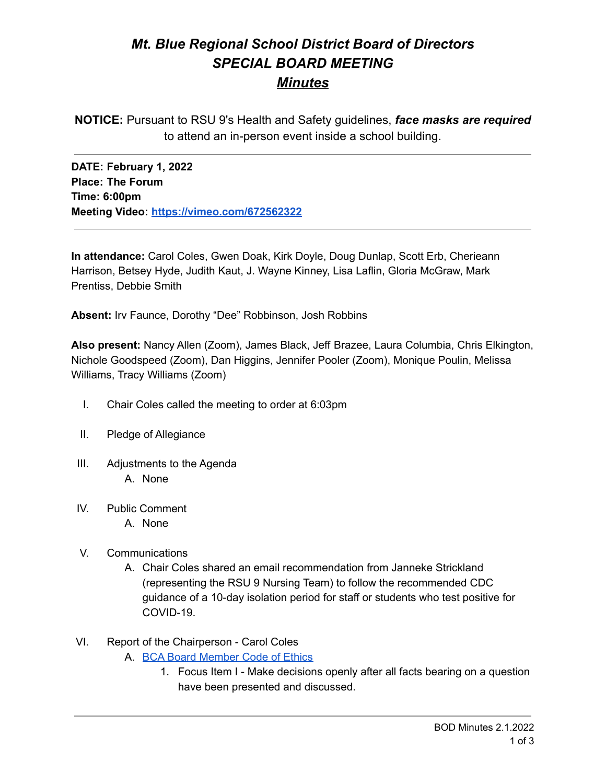# *Mt. Blue Regional School District Board of Directors SPECIAL BOARD MEETING Minutes*

**NOTICE:** Pursuant to RSU 9's Health and Safety guidelines, *face masks are required* to attend an in-person event inside a school building.

**DATE: February 1, 2022 Place: The Forum Time: 6:00pm Meeting Video: <https://vimeo.com/672562322>**

**In attendance:** Carol Coles, Gwen Doak, Kirk Doyle, Doug Dunlap, Scott Erb, Cherieann Harrison, Betsey Hyde, Judith Kaut, J. Wayne Kinney, Lisa Laflin, Gloria McGraw, Mark Prentiss, Debbie Smith

**Absent:** Irv Faunce, Dorothy "Dee" Robbinson, Josh Robbins

**Also present:** Nancy Allen (Zoom), James Black, Jeff Brazee, Laura Columbia, Chris Elkington, Nichole Goodspeed (Zoom), Dan Higgins, Jennifer Pooler (Zoom), Monique Poulin, Melissa Williams, Tracy Williams (Zoom)

- I. Chair Coles called the meeting to order at 6:03pm
- II. Pledge of Allegiance
- III. Adjustments to the Agenda A. None
- IV. Public Comment
	- A. None
- V. Communications
	- A. Chair Coles shared an email recommendation from Janneke Strickland (representing the RSU 9 Nursing Team) to follow the recommended CDC guidance of a 10-day isolation period for staff or students who test positive for COVID-19.
- VI. Report of the Chairperson Carol Coles
	- A. BCA Board [Member](https://cdn.branchcms.com/yeQ4XpK43n-1155/docs/district/board-of-directors/policy-manual/section-b/BCA-Board-Member-Code-of-Ethics.pdf) Code of Ethics
		- 1. Focus Item I Make decisions openly after all facts bearing on a question have been presented and discussed.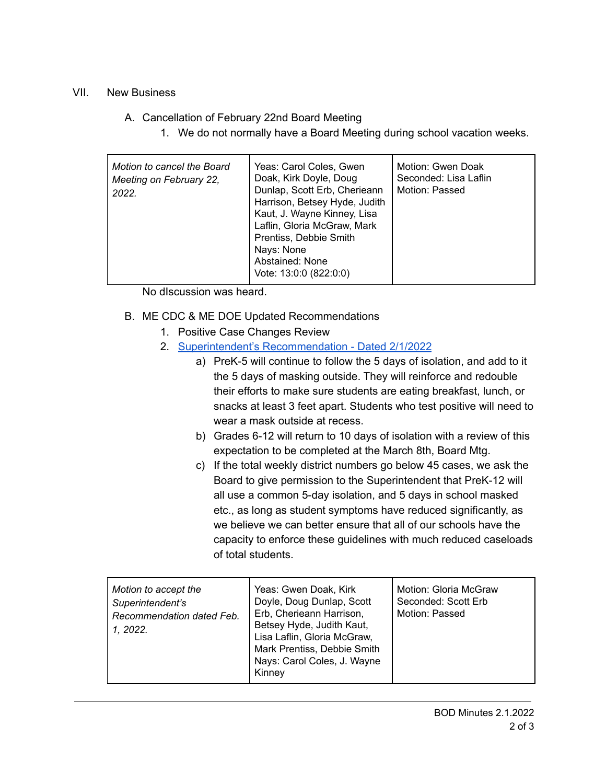## VII. New Business

## A. Cancellation of February 22nd Board Meeting

1. We do not normally have a Board Meeting during school vacation weeks.

| Motion to cancel the Board<br>Meeting on February 22,<br>2022. | Yeas: Carol Coles, Gwen<br>Doak, Kirk Doyle, Doug<br>Dunlap, Scott Erb, Cherieann<br>Harrison, Betsey Hyde, Judith<br>Kaut, J. Wayne Kinney, Lisa<br>Laflin, Gloria McGraw, Mark<br>Prentiss, Debbie Smith<br>Nays: None<br>Abstained: None<br>Vote: 13:0:0 (822:0:0) | Motion: Gwen Doak<br>Seconded: Lisa Laflin<br>Motion: Passed |
|----------------------------------------------------------------|-----------------------------------------------------------------------------------------------------------------------------------------------------------------------------------------------------------------------------------------------------------------------|--------------------------------------------------------------|
|----------------------------------------------------------------|-----------------------------------------------------------------------------------------------------------------------------------------------------------------------------------------------------------------------------------------------------------------------|--------------------------------------------------------------|

No dIscussion was heard.

- B. ME CDC & ME DOE Updated Recommendations
	- 1. Positive Case Changes Review
	- 2. Superintendent's [Recommendation](https://drive.google.com/file/d/1J16mntpQrk-62pZGlXj4IJ6TGmLqXLCv/view?usp=sharing/view?usp=sharingiew?usp=sharing) Dated 2/1/2022
		- a) PreK-5 will continue to follow the 5 days of isolation, and add to it the 5 days of masking outside. They will reinforce and redouble their efforts to make sure students are eating breakfast, lunch, or snacks at least 3 feet apart. Students who test positive will need to wear a mask outside at recess.
		- b) Grades 6-12 will return to 10 days of isolation with a review of this expectation to be completed at the March 8th, Board Mtg.
		- c) If the total weekly district numbers go below 45 cases, we ask the Board to give permission to the Superintendent that PreK-12 will all use a common 5-day isolation, and 5 days in school masked etc., as long as student symptoms have reduced significantly, as we believe we can better ensure that all of our schools have the capacity to enforce these guidelines with much reduced caseloads of total students.

| Motion to accept the<br>Superintendent's<br>Recommendation dated Feb.<br>1. 2022. | Yeas: Gwen Doak, Kirk<br>Doyle, Doug Dunlap, Scott<br>Erb, Cherieann Harrison,<br>Betsey Hyde, Judith Kaut,<br>Lisa Laflin, Gloria McGraw,<br>Mark Prentiss, Debbie Smith<br>Nays: Carol Coles, J. Wayne<br>Kinney | Motion: Gloria McGraw<br>Seconded: Scott Erb<br>Motion: Passed |
|-----------------------------------------------------------------------------------|--------------------------------------------------------------------------------------------------------------------------------------------------------------------------------------------------------------------|----------------------------------------------------------------|
|-----------------------------------------------------------------------------------|--------------------------------------------------------------------------------------------------------------------------------------------------------------------------------------------------------------------|----------------------------------------------------------------|